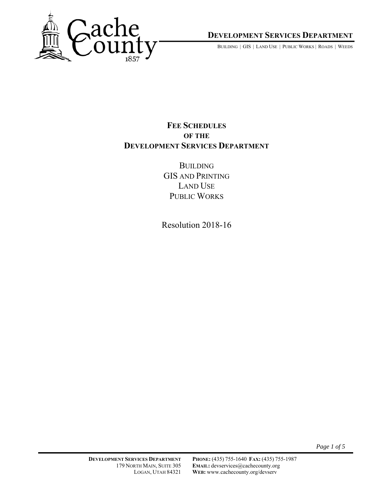

**DEVELOPMENT SERVICES DEPARTMENT**

BUILDING | GIS | LAND USE | PUBLIC WORKS | ROADS | WEEDS

## **FEE SCHEDULES OF THE DEVELOPMENT SERVICES DEPARTMENT**

**BUILDING** GIS AND PRINTING LAND USE PUBLIC WORKS

Resolution 2018-16

*Page 1 of 5*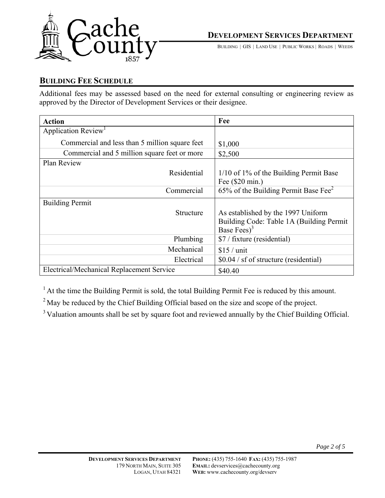

BUILDING | GIS | LAND USE | PUBLIC WORKS | ROADS | WEEDS

#### **BUILDING FEE SCHEDULE**

Additional fees may be assessed based on the need for external consulting or engineering review as approved by the Director of Development Services or their designee.

| <b>Action</b>                                  | Fee                                              |
|------------------------------------------------|--------------------------------------------------|
| Application Review <sup>1</sup>                |                                                  |
| Commercial and less than 5 million square feet | \$1,000                                          |
| Commercial and 5 million square feet or more   | \$2,500                                          |
| Plan Review                                    |                                                  |
| Residential                                    | $1/10$ of 1% of the Building Permit Base         |
|                                                | Fee (\$20 min.)                                  |
| Commercial                                     | 65% of the Building Permit Base Fee <sup>2</sup> |
| <b>Building Permit</b>                         |                                                  |
| Structure                                      | As established by the 1997 Uniform               |
|                                                | Building Code: Table 1A (Building Permit)        |
|                                                | Base Fees) <sup>3</sup>                          |
| Plumbing                                       | \$7 / fixture (residential)                      |
| Mechanical                                     | $$15 /$ unit                                     |
| Electrical                                     | \$0.04 / sf of structure (residential)           |
| Electrical/Mechanical Replacement Service      | \$40.40                                          |

 $<sup>1</sup>$  At the time the Building Permit is sold, the total Building Permit Fee is reduced by this amount.</sup>

<sup>2</sup> May be reduced by the Chief Building Official based on the size and scope of the project.

<sup>3</sup> Valuation amounts shall be set by square foot and reviewed annually by the Chief Building Official.

*Page 2 of 5*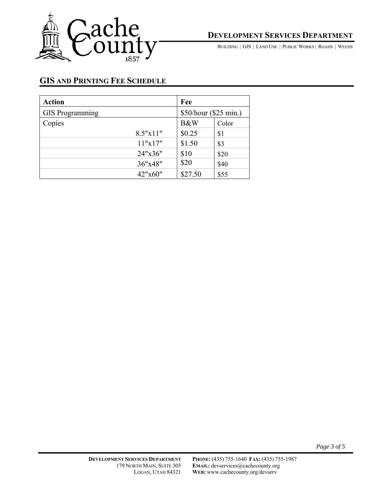

**DEVELOPMENT SERVICES DEPARTMENT**

BUILDING | GIS | LAND USE | PUBLIC WORKS | ROADS | WEEDS

# **GIS AND PRINTING FEE SCHEDULE**

| <b>Action</b>          |          | Fee                   |       |
|------------------------|----------|-----------------------|-------|
| <b>GIS</b> Programming |          | \$50/hour (\$25 min.) |       |
| Copies                 |          | B&W                   | Color |
|                        | 8.5"x11" | \$0.25                | \$1   |
|                        | 11"x17"  | \$1.50                | \$3   |
|                        | 24"x36"  | \$10                  | \$20  |
|                        | 36"x48"  | \$20                  | \$40  |
|                        | 42"x60"  | \$27.50               | \$55  |

*Page 3 of 5*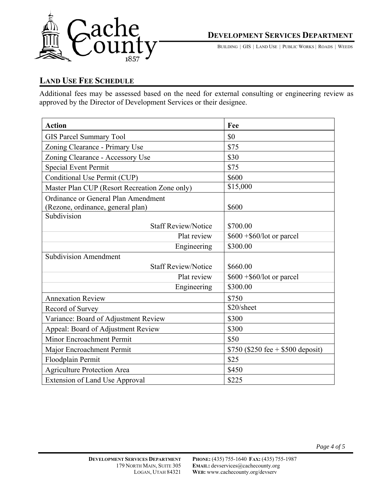

BUILDING | GIS | LAND USE | PUBLIC WORKS | ROADS | WEEDS

## **LAND USE FEE SCHEDULE**

Additional fees may be assessed based on the need for external consulting or engineering review as approved by the Director of Development Services or their designee.

| <b>Action</b>                                 | Fee                               |
|-----------------------------------------------|-----------------------------------|
| <b>GIS Parcel Summary Tool</b>                | \$0                               |
| Zoning Clearance - Primary Use                | \$75                              |
| Zoning Clearance - Accessory Use              | \$30                              |
| <b>Special Event Permit</b>                   | \$75                              |
| Conditional Use Permit (CUP)                  | \$600                             |
| Master Plan CUP (Resort Recreation Zone only) | \$15,000                          |
| Ordinance or General Plan Amendment           |                                   |
| (Rezone, ordinance, general plan)             | \$600                             |
| Subdivision                                   |                                   |
| <b>Staff Review/Notice</b>                    | \$700.00                          |
| Plat review                                   | $$600 + $60/lot$ or parcel        |
| Engineering                                   | \$300.00                          |
| Subdivision Amendment                         |                                   |
| <b>Staff Review/Notice</b>                    | \$660.00                          |
| Plat review                                   | $$600 + $60/lot$ or parcel        |
| Engineering                                   | \$300.00                          |
| <b>Annexation Review</b>                      | \$750                             |
| Record of Survey                              | \$20/sheet                        |
| Variance: Board of Adjustment Review          | \$300                             |
| Appeal: Board of Adjustment Review            | \$300                             |
| Minor Encroachment Permit                     | \$50                              |
| Major Encroachment Permit                     | \$750 (\$250 fee + \$500 deposit) |
| Floodplain Permit                             | \$25                              |
| <b>Agriculture Protection Area</b>            | \$450                             |
| <b>Extension of Land Use Approval</b>         | \$225                             |